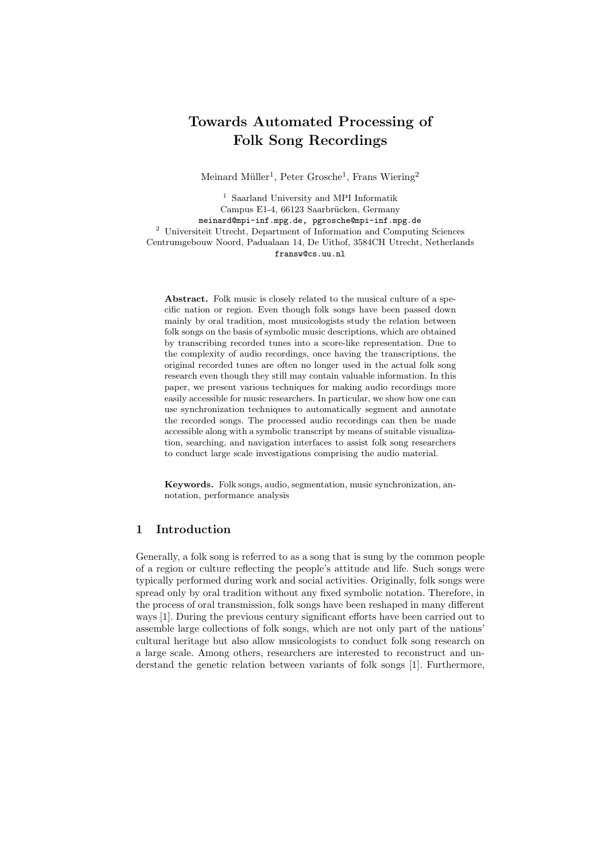# Towards Automated Processing of Folk Song Recordings

Meinard Müller<sup>1</sup>, Peter Grosche<sup>1</sup>, Frans Wiering<sup>2</sup>

1 Saarland University and MPI Informatik Campus E1-4, 66123 Saarbrücken, Germany meinard@mpi-inf.mpg.de, pgrosche@mpi-inf.mpg.de <sup>2</sup> Universiteit Utrecht, Department of Information and Computing Sciences Centrumgebouw Noord, Padualaan 14, De Uithof, 3584CH Utrecht, Netherlands fransw@cs.uu.nl

Abstract. Folk music is closely related to the musical culture of a specific nation or region. Even though folk songs have been passed down mainly by oral tradition, most musicologists study the relation between folk songs on the basis of symbolic music descriptions, which are obtained by transcribing recorded tunes into a score-like representation. Due to the complexity of audio recordings, once having the transcriptions, the original recorded tunes are often no longer used in the actual folk song research even though they still may contain valuable information. In this paper, we present various techniques for making audio recordings more easily accessible for music researchers. In particular, we show how one can use synchronization techniques to automatically segment and annotate the recorded songs. The processed audio recordings can then be made accessible along with a symbolic transcript by means of suitable visualization, searching, and navigation interfaces to assist folk song researchers to conduct large scale investigations comprising the audio material.

Keywords. Folk songs, audio, segmentation, music synchronization, annotation, performance analysis

# 1 Introduction

Generally, a folk song is referred to as a song that is sung by the common people of a region or culture reflecting the people's attitude and life. Such songs were typically performed during work and social activities. Originally, folk songs were spread only by oral tradition without any fixed symbolic notation. Therefore, in the process of oral transmission, folk songs have been reshaped in many different ways [1]. During the previous century significant efforts have been carried out to assemble large collections of folk songs, which are not only part of the nations' cultural heritage but also allow musicologists to conduct folk song research on a large scale. Among others, researchers are interested to reconstruct and understand the genetic relation between variants of folk songs [1]. Furthermore,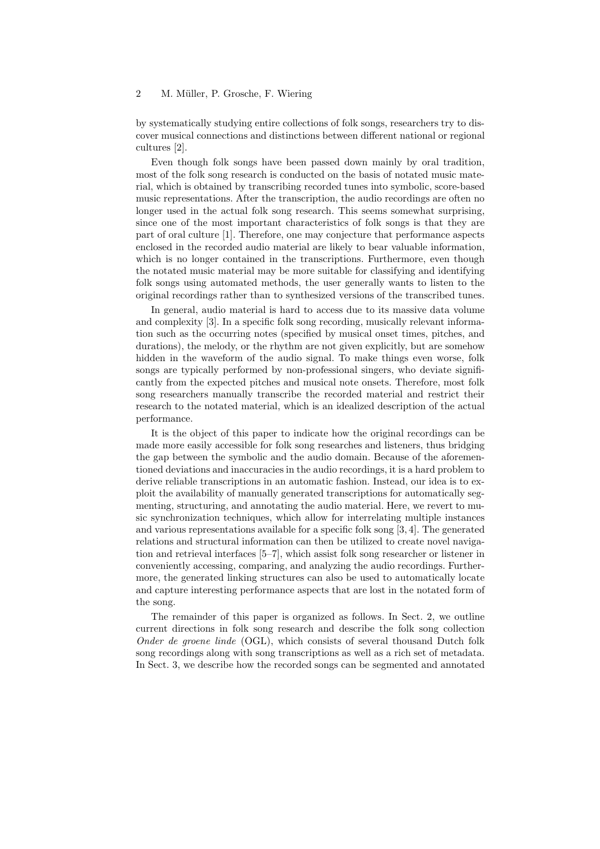by systematically studying entire collections of folk songs, researchers try to discover musical connections and distinctions between different national or regional cultures [2].

Even though folk songs have been passed down mainly by oral tradition, most of the folk song research is conducted on the basis of notated music material, which is obtained by transcribing recorded tunes into symbolic, score-based music representations. After the transcription, the audio recordings are often no longer used in the actual folk song research. This seems somewhat surprising, since one of the most important characteristics of folk songs is that they are part of oral culture [1]. Therefore, one may conjecture that performance aspects enclosed in the recorded audio material are likely to bear valuable information, which is no longer contained in the transcriptions. Furthermore, even though the notated music material may be more suitable for classifying and identifying folk songs using automated methods, the user generally wants to listen to the original recordings rather than to synthesized versions of the transcribed tunes.

In general, audio material is hard to access due to its massive data volume and complexity [3]. In a specific folk song recording, musically relevant information such as the occurring notes (specified by musical onset times, pitches, and durations), the melody, or the rhythm are not given explicitly, but are somehow hidden in the waveform of the audio signal. To make things even worse, folk songs are typically performed by non-professional singers, who deviate significantly from the expected pitches and musical note onsets. Therefore, most folk song researchers manually transcribe the recorded material and restrict their research to the notated material, which is an idealized description of the actual performance.

It is the object of this paper to indicate how the original recordings can be made more easily accessible for folk song researches and listeners, thus bridging the gap between the symbolic and the audio domain. Because of the aforementioned deviations and inaccuracies in the audio recordings, it is a hard problem to derive reliable transcriptions in an automatic fashion. Instead, our idea is to exploit the availability of manually generated transcriptions for automatically segmenting, structuring, and annotating the audio material. Here, we revert to music synchronization techniques, which allow for interrelating multiple instances and various representations available for a specific folk song [3, 4]. The generated relations and structural information can then be utilized to create novel navigation and retrieval interfaces [5–7], which assist folk song researcher or listener in conveniently accessing, comparing, and analyzing the audio recordings. Furthermore, the generated linking structures can also be used to automatically locate and capture interesting performance aspects that are lost in the notated form of the song.

The remainder of this paper is organized as follows. In Sect. 2, we outline current directions in folk song research and describe the folk song collection Onder de groene linde (OGL), which consists of several thousand Dutch folk song recordings along with song transcriptions as well as a rich set of metadata. In Sect. 3, we describe how the recorded songs can be segmented and annotated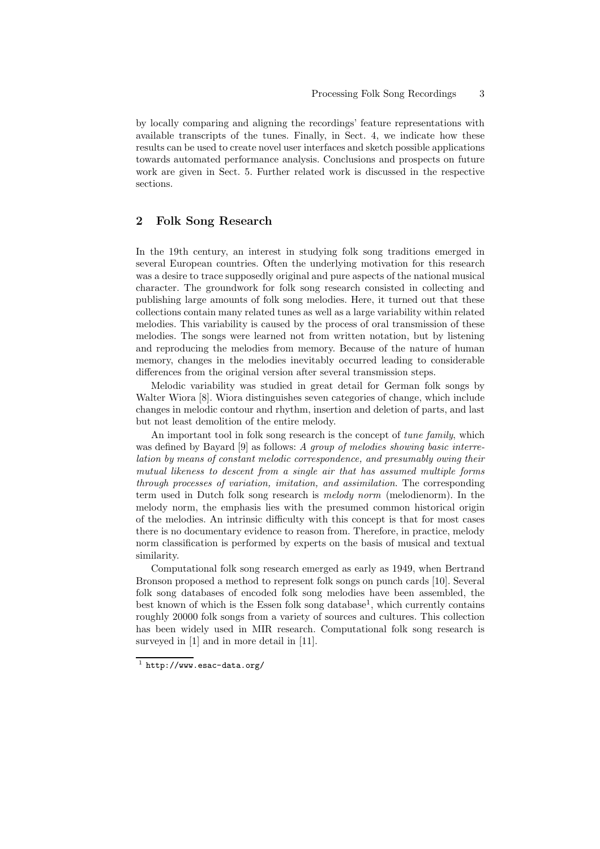by locally comparing and aligning the recordings' feature representations with available transcripts of the tunes. Finally, in Sect. 4, we indicate how these results can be used to create novel user interfaces and sketch possible applications towards automated performance analysis. Conclusions and prospects on future work are given in Sect. 5. Further related work is discussed in the respective sections.

# 2 Folk Song Research

In the 19th century, an interest in studying folk song traditions emerged in several European countries. Often the underlying motivation for this research was a desire to trace supposedly original and pure aspects of the national musical character. The groundwork for folk song research consisted in collecting and publishing large amounts of folk song melodies. Here, it turned out that these collections contain many related tunes as well as a large variability within related melodies. This variability is caused by the process of oral transmission of these melodies. The songs were learned not from written notation, but by listening and reproducing the melodies from memory. Because of the nature of human memory, changes in the melodies inevitably occurred leading to considerable differences from the original version after several transmission steps.

Melodic variability was studied in great detail for German folk songs by Walter Wiora [8]. Wiora distinguishes seven categories of change, which include changes in melodic contour and rhythm, insertion and deletion of parts, and last but not least demolition of the entire melody.

An important tool in folk song research is the concept of *tune family*, which was defined by Bayard [9] as follows: A group of melodies showing basic interrelation by means of constant melodic correspondence, and presumably owing their mutual likeness to descent from a single air that has assumed multiple forms through processes of variation, imitation, and assimilation. The corresponding term used in Dutch folk song research is melody norm (melodienorm). In the melody norm, the emphasis lies with the presumed common historical origin of the melodies. An intrinsic difficulty with this concept is that for most cases there is no documentary evidence to reason from. Therefore, in practice, melody norm classification is performed by experts on the basis of musical and textual similarity.

Computational folk song research emerged as early as 1949, when Bertrand Bronson proposed a method to represent folk songs on punch cards [10]. Several folk song databases of encoded folk song melodies have been assembled, the best known of which is the Essen folk song database<sup>1</sup>, which currently contains roughly 20000 folk songs from a variety of sources and cultures. This collection has been widely used in MIR research. Computational folk song research is surveyed in [1] and in more detail in [11].

 $^1$  http://www.esac-data.org/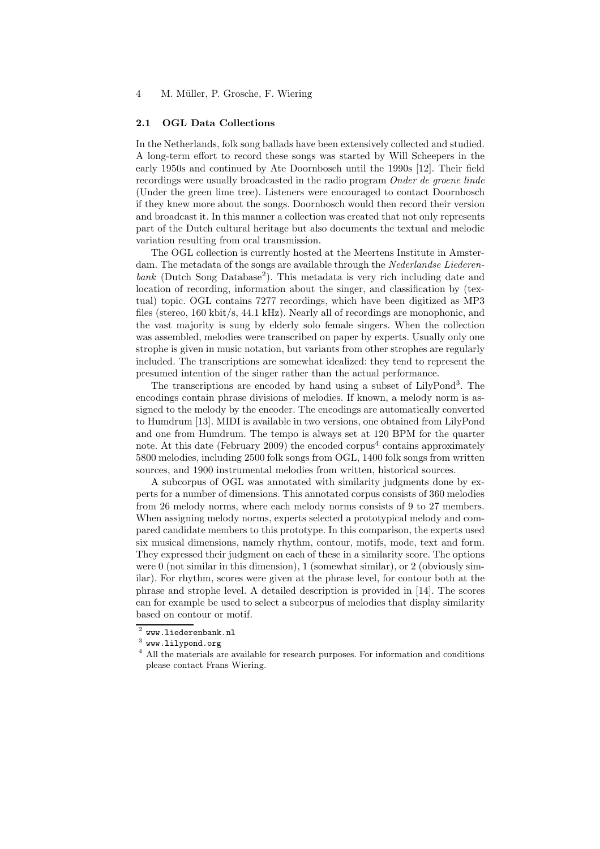#### 2.1 OGL Data Collections

In the Netherlands, folk song ballads have been extensively collected and studied. A long-term effort to record these songs was started by Will Scheepers in the early 1950s and continued by Ate Doornbosch until the 1990s [12]. Their field recordings were usually broadcasted in the radio program Onder de groene linde (Under the green lime tree). Listeners were encouraged to contact Doornbosch if they knew more about the songs. Doornbosch would then record their version and broadcast it. In this manner a collection was created that not only represents part of the Dutch cultural heritage but also documents the textual and melodic variation resulting from oral transmission.

The OGL collection is currently hosted at the Meertens Institute in Amsterdam. The metadata of the songs are available through the Nederlandse Liederenbank (Dutch Song Database<sup>2</sup>). This metadata is very rich including date and location of recording, information about the singer, and classification by (textual) topic. OGL contains 7277 recordings, which have been digitized as MP3 files (stereo, 160 kbit/s, 44.1 kHz). Nearly all of recordings are monophonic, and the vast majority is sung by elderly solo female singers. When the collection was assembled, melodies were transcribed on paper by experts. Usually only one strophe is given in music notation, but variants from other strophes are regularly included. The transcriptions are somewhat idealized: they tend to represent the presumed intention of the singer rather than the actual performance.

The transcriptions are encoded by hand using a subset of LilyPond<sup>3</sup>. The encodings contain phrase divisions of melodies. If known, a melody norm is assigned to the melody by the encoder. The encodings are automatically converted to Humdrum [13]. MIDI is available in two versions, one obtained from LilyPond and one from Humdrum. The tempo is always set at 120 BPM for the quarter note. At this date (February 2009) the encoded corpus<sup>4</sup> contains approximately 5800 melodies, including 2500 folk songs from OGL, 1400 folk songs from written sources, and 1900 instrumental melodies from written, historical sources.

A subcorpus of OGL was annotated with similarity judgments done by experts for a number of dimensions. This annotated corpus consists of 360 melodies from 26 melody norms, where each melody norms consists of 9 to 27 members. When assigning melody norms, experts selected a prototypical melody and compared candidate members to this prototype. In this comparison, the experts used six musical dimensions, namely rhythm, contour, motifs, mode, text and form. They expressed their judgment on each of these in a similarity score. The options were 0 (not similar in this dimension), 1 (somewhat similar), or 2 (obviously similar). For rhythm, scores were given at the phrase level, for contour both at the phrase and strophe level. A detailed description is provided in [14]. The scores can for example be used to select a subcorpus of melodies that display similarity based on contour or motif.

 $^2$  www.liederenbank.nl

 $^3$  www.lilypond.org

<sup>&</sup>lt;sup>4</sup> All the materials are available for research purposes. For information and conditions please contact Frans Wiering.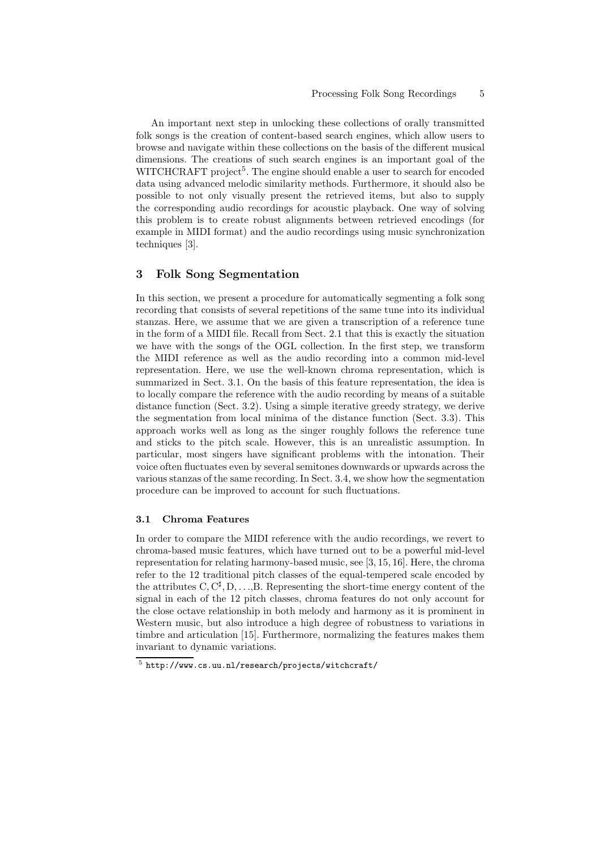An important next step in unlocking these collections of orally transmitted folk songs is the creation of content-based search engines, which allow users to browse and navigate within these collections on the basis of the different musical dimensions. The creations of such search engines is an important goal of the WITCHCRAFT project<sup>5</sup>. The engine should enable a user to search for encoded data using advanced melodic similarity methods. Furthermore, it should also be possible to not only visually present the retrieved items, but also to supply the corresponding audio recordings for acoustic playback. One way of solving this problem is to create robust alignments between retrieved encodings (for example in MIDI format) and the audio recordings using music synchronization techniques [3].

## 3 Folk Song Segmentation

In this section, we present a procedure for automatically segmenting a folk song recording that consists of several repetitions of the same tune into its individual stanzas. Here, we assume that we are given a transcription of a reference tune in the form of a MIDI file. Recall from Sect. 2.1 that this is exactly the situation we have with the songs of the OGL collection. In the first step, we transform the MIDI reference as well as the audio recording into a common mid-level representation. Here, we use the well-known chroma representation, which is summarized in Sect. 3.1. On the basis of this feature representation, the idea is to locally compare the reference with the audio recording by means of a suitable distance function (Sect. 3.2). Using a simple iterative greedy strategy, we derive the segmentation from local minima of the distance function (Sect. 3.3). This approach works well as long as the singer roughly follows the reference tune and sticks to the pitch scale. However, this is an unrealistic assumption. In particular, most singers have significant problems with the intonation. Their voice often fluctuates even by several semitones downwards or upwards across the various stanzas of the same recording. In Sect. 3.4, we show how the segmentation procedure can be improved to account for such fluctuations.

#### 3.1 Chroma Features

In order to compare the MIDI reference with the audio recordings, we revert to chroma-based music features, which have turned out to be a powerful mid-level representation for relating harmony-based music, see [3, 15, 16]. Here, the chroma refer to the 12 traditional pitch classes of the equal-tempered scale encoded by the attributes  $C, C^{\sharp}, D, \ldots, B$ . Representing the short-time energy content of the signal in each of the 12 pitch classes, chroma features do not only account for the close octave relationship in both melody and harmony as it is prominent in Western music, but also introduce a high degree of robustness to variations in timbre and articulation [15]. Furthermore, normalizing the features makes them invariant to dynamic variations.

 $^5$ http://www.cs.uu.nl/research/projects/witchcraft/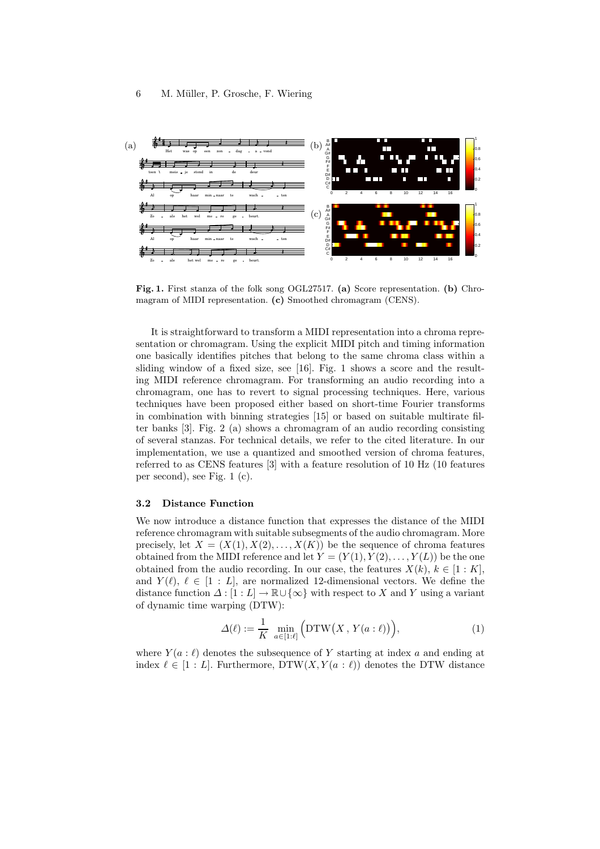

Fig. 1. First stanza of the folk song OGL27517. (a) Score representation. (b) Chromagram of MIDI representation. (c) Smoothed chromagram (CENS).

It is straightforward to transform a MIDI representation into a chroma representation or chromagram. Using the explicit MIDI pitch and timing information one basically identifies pitches that belong to the same chroma class within a sliding window of a fixed size, see [16]. Fig. 1 shows a score and the resulting MIDI reference chromagram. For transforming an audio recording into a chromagram, one has to revert to signal processing techniques. Here, various techniques have been proposed either based on short-time Fourier transforms in combination with binning strategies [15] or based on suitable multirate filter banks [3]. Fig. 2 (a) shows a chromagram of an audio recording consisting of several stanzas. For technical details, we refer to the cited literature. In our implementation, we use a quantized and smoothed version of chroma features, referred to as CENS features [3] with a feature resolution of 10 Hz (10 features per second), see Fig. 1 (c).

#### 3.2 Distance Function

We now introduce a distance function that expresses the distance of the MIDI reference chromagram with suitable subsegments of the audio chromagram. More precisely, let  $X = (X(1), X(2), \ldots, X(K))$  be the sequence of chroma features obtained from the MIDI reference and let  $Y = (Y(1), Y(2), \ldots, Y(L))$  be the one obtained from the audio recording. In our case, the features  $X(k)$ ,  $k \in [1:K]$ , and  $Y(\ell), \ell \in [1 : L]$ , are normalized 12-dimensional vectors. We define the distance function  $\Delta : [1 : L] \to \mathbb{R} \cup {\infty}$  with respect to X and Y using a variant of dynamic time warping (DTW):

$$
\Delta(\ell) := \frac{1}{K} \min_{a \in [1:\ell]} \Big( \text{DTW}\big(X, Y(a:\ell)\big) \Big),\tag{1}
$$

where  $Y(a : \ell)$  denotes the subsequence of Y starting at index a and ending at index  $\ell \in [1:L]$ . Furthermore, DTW $(X, Y(a : \ell))$  denotes the DTW distance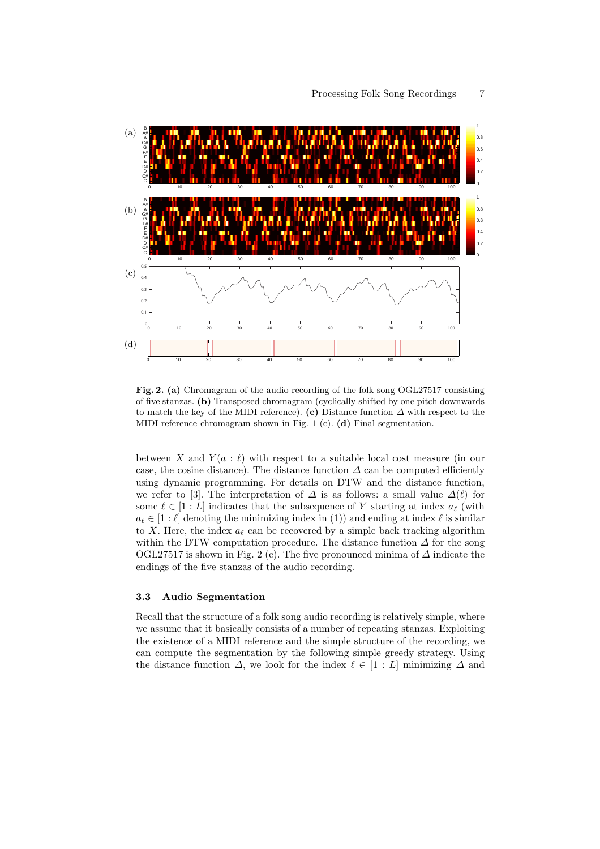

Fig. 2. (a) Chromagram of the audio recording of the folk song OGL27517 consisting of five stanzas. (b) Transposed chromagram (cyclically shifted by one pitch downwards to match the key of the MIDI reference). (c) Distance function  $\Delta$  with respect to the MIDI reference chromagram shown in Fig. 1 (c). (d) Final segmentation.

between X and  $Y(a : \ell)$  with respect to a suitable local cost measure (in our case, the cosine distance). The distance function  $\Delta$  can be computed efficiently using dynamic programming. For details on DTW and the distance function, we refer to [3]. The interpretation of  $\Delta$  is as follows: a small value  $\Delta(\ell)$  for some  $\ell \in [1:L]$  indicates that the subsequence of Y starting at index  $a_{\ell}$  (with  $a_{\ell} \in [1:\ell]$  denoting the minimizing index in (1)) and ending at index  $\ell$  is similar to X. Here, the index  $a_{\ell}$  can be recovered by a simple back tracking algorithm within the DTW computation procedure. The distance function  $\Delta$  for the song OGL27517 is shown in Fig. 2 (c). The five pronounced minima of  $\Delta$  indicate the endings of the five stanzas of the audio recording.

#### 3.3 Audio Segmentation

Recall that the structure of a folk song audio recording is relatively simple, where we assume that it basically consists of a number of repeating stanzas. Exploiting the existence of a MIDI reference and the simple structure of the recording, we can compute the segmentation by the following simple greedy strategy. Using the distance function  $\Delta$ , we look for the index  $\ell \in [1:L]$  minimizing  $\Delta$  and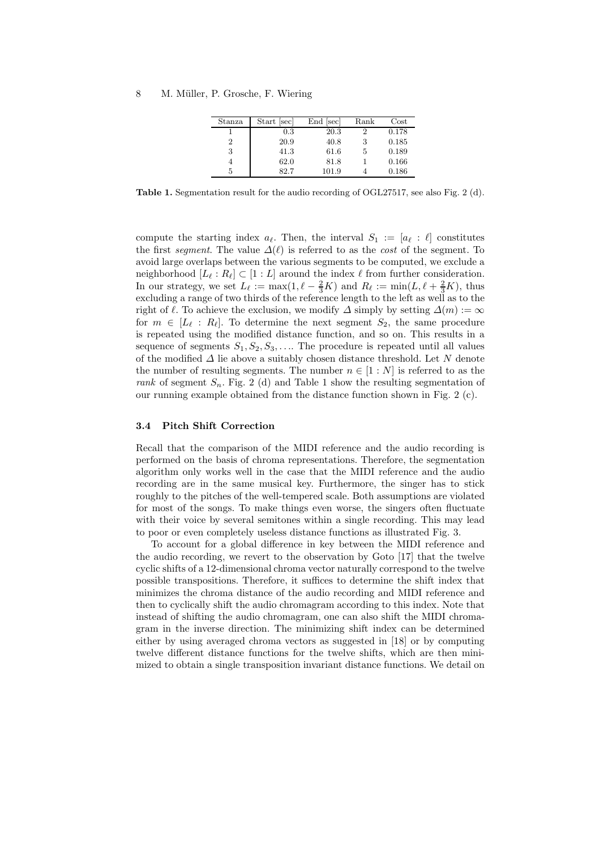| Stanza | Start<br><sub>sec</sub> | End [sec] | Rank       | $\rm Cost$ |
|--------|-------------------------|-----------|------------|------------|
|        | $0.3\,$                 | 20.3      | റ          | 0.178      |
| 2      | 20.9                    | 40.8      | 3          | 0.185      |
| 3      | 41.3                    | 61.6      | $\ddot{ }$ | 0.189      |
|        | 62.0                    | 81.8      |            | 0.166      |
| 5      | 82.7                    | 101.9     |            | 0.186      |

Table 1. Segmentation result for the audio recording of OGL27517, see also Fig. 2 (d).

compute the starting index  $a_{\ell}$ . Then, the interval  $S_1 := [a_{\ell} : \ell]$  constitutes the first segment. The value  $\Delta(\ell)$  is referred to as the cost of the segment. To avoid large overlaps between the various segments to be computed, we exclude a neighborhood  $[L_{\ell}: R_{\ell}] \subset [1:L]$  around the index  $\ell$  from further consideration. In our strategy, we set  $L_{\ell} := \max(1, \ell - \frac{2}{3}K)$  and  $R_{\ell} := \min(L, \ell + \frac{2}{3}K)$ , thus excluding a range of two thirds of the reference length to the left as well as to the right of  $\ell$ . To achieve the exclusion, we modify  $\Delta$  simply by setting  $\Delta(m) := \infty$ for  $m \in [L_{\ell}: R_{\ell}]$ . To determine the next segment  $S_2$ , the same procedure is repeated using the modified distance function, and so on. This results in a sequence of segments  $S_1, S_2, S_3, \ldots$  The procedure is repeated until all values of the modified  $\Delta$  lie above a suitably chosen distance threshold. Let N denote the number of resulting segments. The number  $n \in [1:N]$  is referred to as the rank of segment  $S_n$ . Fig. 2 (d) and Table 1 show the resulting segmentation of our running example obtained from the distance function shown in Fig. 2 (c).

#### 3.4 Pitch Shift Correction

Recall that the comparison of the MIDI reference and the audio recording is performed on the basis of chroma representations. Therefore, the segmentation algorithm only works well in the case that the MIDI reference and the audio recording are in the same musical key. Furthermore, the singer has to stick roughly to the pitches of the well-tempered scale. Both assumptions are violated for most of the songs. To make things even worse, the singers often fluctuate with their voice by several semitones within a single recording. This may lead to poor or even completely useless distance functions as illustrated Fig. 3.

To account for a global difference in key between the MIDI reference and the audio recording, we revert to the observation by Goto [17] that the twelve cyclic shifts of a 12-dimensional chroma vector naturally correspond to the twelve possible transpositions. Therefore, it suffices to determine the shift index that minimizes the chroma distance of the audio recording and MIDI reference and then to cyclically shift the audio chromagram according to this index. Note that instead of shifting the audio chromagram, one can also shift the MIDI chromagram in the inverse direction. The minimizing shift index can be determined either by using averaged chroma vectors as suggested in [18] or by computing twelve different distance functions for the twelve shifts, which are then minimized to obtain a single transposition invariant distance functions. We detail on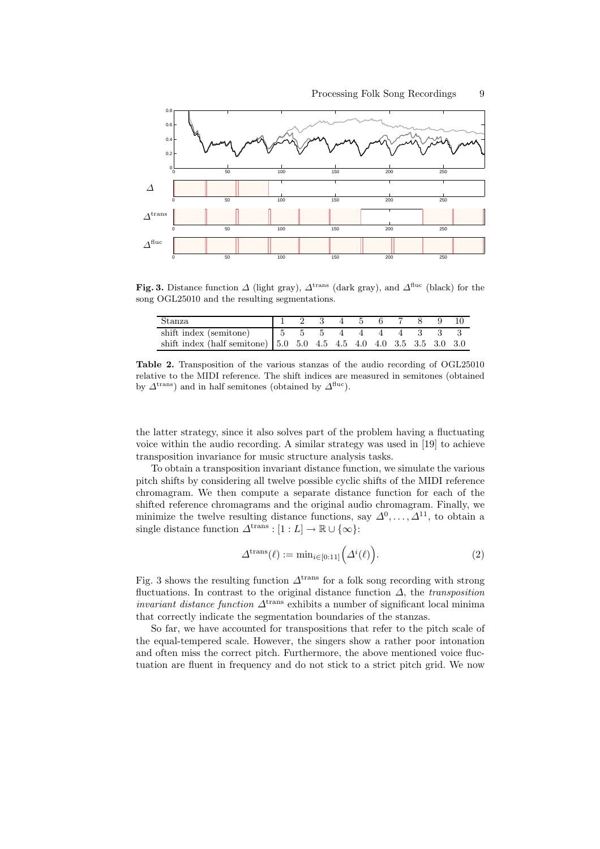

Fig. 3. Distance function  $\Delta$  (light gray),  $\Delta^{\text{trans}}$  (dark gray), and  $\Delta^{\text{fluc}}$  (black) for the song OGL25010 and the resulting segmentations.

| Stanza                                                                                                                |  |  | 1 2 3 4 5 6 7 8 9 10 |  |  |
|-----------------------------------------------------------------------------------------------------------------------|--|--|----------------------|--|--|
| shift index (semitone) $\begin{array}{ccccccccc} 5 & 5 & 5 & 4 & 4 & 4 & 3 & 3 & 3 \end{array}$                       |  |  |                      |  |  |
| shift index (half semitone) $\begin{bmatrix} 5.0 & 5.0 & 4.5 & 4.5 & 4.0 & 4.0 & 3.5 & 3.5 & 3.0 & 3.0 \end{bmatrix}$ |  |  |                      |  |  |

Table 2. Transposition of the various stanzas of the audio recording of OGL25010 relative to the MIDI reference. The shift indices are measured in semitones (obtained by  $\Delta^{\text{trans}}$ ) and in half semitones (obtained by  $\Delta^{\text{fluc}}$ ).

the latter strategy, since it also solves part of the problem having a fluctuating voice within the audio recording. A similar strategy was used in [19] to achieve transposition invariance for music structure analysis tasks.

To obtain a transposition invariant distance function, we simulate the various pitch shifts by considering all twelve possible cyclic shifts of the MIDI reference chromagram. We then compute a separate distance function for each of the shifted reference chromagrams and the original audio chromagram. Finally, we minimize the twelve resulting distance functions, say  $\Delta^0, \ldots, \Delta^{11}$ , to obtain a single distance function  $\Delta^{\text{trans}} : [1 : L] \to \mathbb{R} \cup {\infty}$ :

$$
\Delta^{\text{trans}}(\ell) := \min_{i \in [0:11]} (\Delta^i(\ell)). \tag{2}
$$

Fig. 3 shows the resulting function  $\Delta^{\text{trans}}$  for a folk song recording with strong fluctuations. In contrast to the original distance function  $\Delta$ , the *transposition invariant distance function*  $\Delta^{\text{trans}}$  exhibits a number of significant local minima that correctly indicate the segmentation boundaries of the stanzas.

So far, we have accounted for transpositions that refer to the pitch scale of the equal-tempered scale. However, the singers show a rather poor intonation and often miss the correct pitch. Furthermore, the above mentioned voice fluctuation are fluent in frequency and do not stick to a strict pitch grid. We now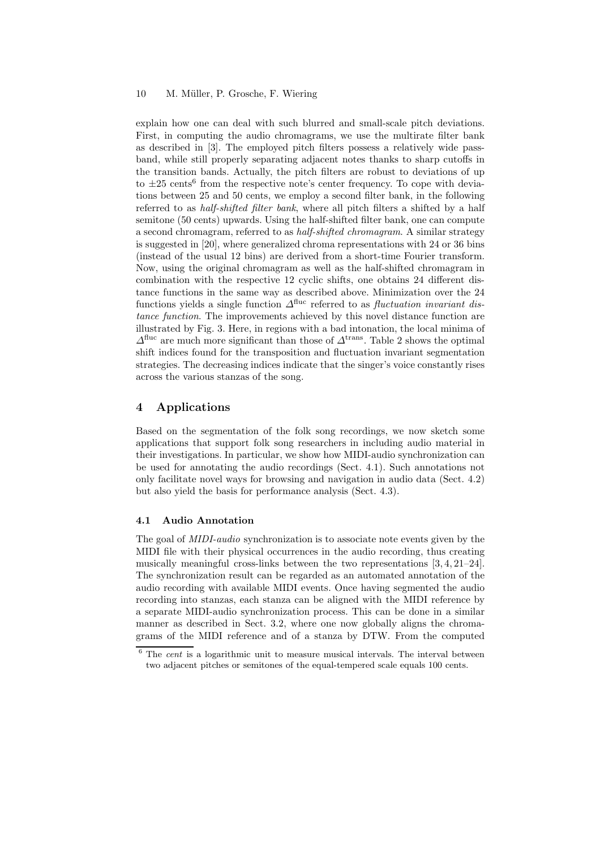explain how one can deal with such blurred and small-scale pitch deviations. First, in computing the audio chromagrams, we use the multirate filter bank as described in [3]. The employed pitch filters possess a relatively wide passband, while still properly separating adjacent notes thanks to sharp cutoffs in the transition bands. Actually, the pitch filters are robust to deviations of up to  $\pm 25$  cents<sup>6</sup> from the respective note's center frequency. To cope with deviations between 25 and 50 cents, we employ a second filter bank, in the following referred to as *half-shifted filter bank*, where all pitch filters a shifted by a half semitone (50 cents) upwards. Using the half-shifted filter bank, one can compute a second chromagram, referred to as half-shifted chromagram. A similar strategy is suggested in [20], where generalized chroma representations with 24 or 36 bins (instead of the usual 12 bins) are derived from a short-time Fourier transform. Now, using the original chromagram as well as the half-shifted chromagram in combination with the respective 12 cyclic shifts, one obtains 24 different distance functions in the same way as described above. Minimization over the 24 functions yields a single function  $\Delta^{\text{fluc}}$  referred to as *fluctuation invariant dis*tance function. The improvements achieved by this novel distance function are illustrated by Fig. 3. Here, in regions with a bad intonation, the local minima of  $\Delta^{\text{fluc}}$  are much more significant than those of  $\Delta^{\text{trans}}$ . Table 2 shows the optimal shift indices found for the transposition and fluctuation invariant segmentation strategies. The decreasing indices indicate that the singer's voice constantly rises across the various stanzas of the song.

# 4 Applications

Based on the segmentation of the folk song recordings, we now sketch some applications that support folk song researchers in including audio material in their investigations. In particular, we show how MIDI-audio synchronization can be used for annotating the audio recordings (Sect. 4.1). Such annotations not only facilitate novel ways for browsing and navigation in audio data (Sect. 4.2) but also yield the basis for performance analysis (Sect. 4.3).

#### 4.1 Audio Annotation

The goal of MIDI-audio synchronization is to associate note events given by the MIDI file with their physical occurrences in the audio recording, thus creating musically meaningful cross-links between the two representations [3, 4, 21–24]. The synchronization result can be regarded as an automated annotation of the audio recording with available MIDI events. Once having segmented the audio recording into stanzas, each stanza can be aligned with the MIDI reference by a separate MIDI-audio synchronization process. This can be done in a similar manner as described in Sect. 3.2, where one now globally aligns the chromagrams of the MIDI reference and of a stanza by DTW. From the computed

 $6$  The *cent* is a logarithmic unit to measure musical intervals. The interval between two adjacent pitches or semitones of the equal-tempered scale equals 100 cents.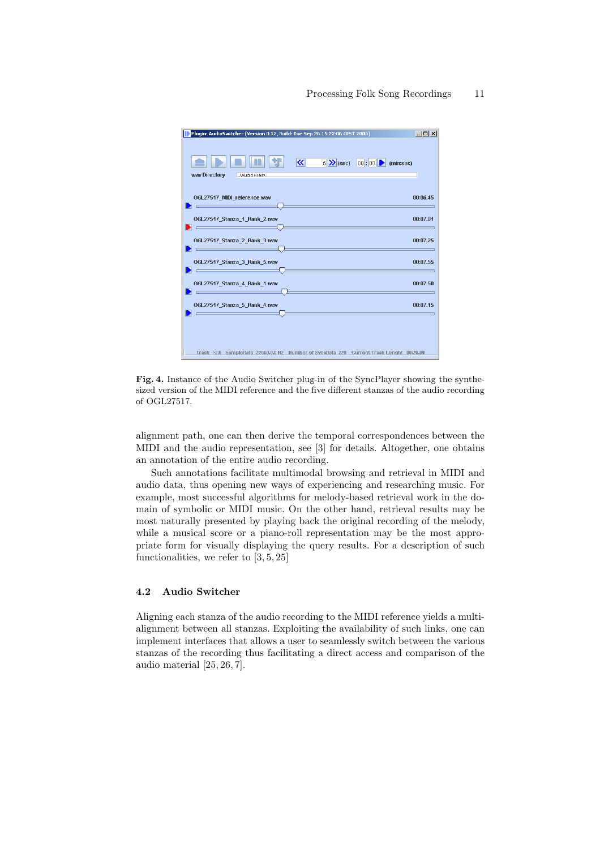## Processing Folk Song Recordings 11



Fig. 4. Instance of the Audio Switcher plug-in of the SyncPlayer showing the synthesized version of the MIDI reference and the five different stanzas of the audio recording of OGL27517.

alignment path, one can then derive the temporal correspondences between the MIDI and the audio representation, see [3] for details. Altogether, one obtains an annotation of the entire audio recording.

Such annotations facilitate multimodal browsing and retrieval in MIDI and audio data, thus opening new ways of experiencing and researching music. For example, most successful algorithms for melody-based retrieval work in the domain of symbolic or MIDI music. On the other hand, retrieval results may be most naturally presented by playing back the original recording of the melody, while a musical score or a piano-roll representation may be the most appropriate form for visually displaying the query results. For a description of such functionalities, we refer to [3, 5, 25]

# 4.2 Audio Switcher

Aligning each stanza of the audio recording to the MIDI reference yields a multialignment between all stanzas. Exploiting the availability of such links, one can implement interfaces that allows a user to seamlessly switch between the various stanzas of the recording thus facilitating a direct access and comparison of the audio material [25, 26, 7].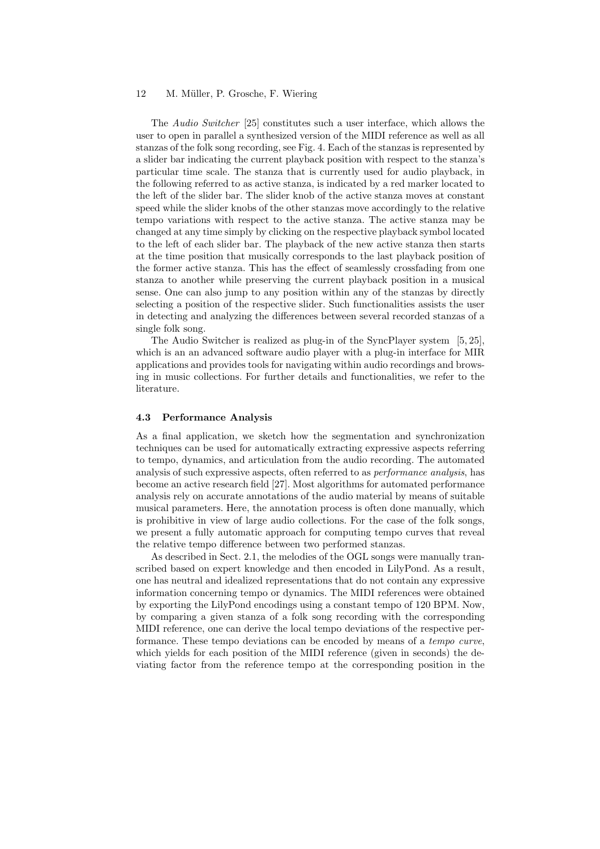The Audio Switcher [25] constitutes such a user interface, which allows the user to open in parallel a synthesized version of the MIDI reference as well as all stanzas of the folk song recording, see Fig. 4. Each of the stanzas is represented by a slider bar indicating the current playback position with respect to the stanza's particular time scale. The stanza that is currently used for audio playback, in the following referred to as active stanza, is indicated by a red marker located to the left of the slider bar. The slider knob of the active stanza moves at constant speed while the slider knobs of the other stanzas move accordingly to the relative tempo variations with respect to the active stanza. The active stanza may be changed at any time simply by clicking on the respective playback symbol located to the left of each slider bar. The playback of the new active stanza then starts at the time position that musically corresponds to the last playback position of the former active stanza. This has the effect of seamlessly crossfading from one stanza to another while preserving the current playback position in a musical sense. One can also jump to any position within any of the stanzas by directly selecting a position of the respective slider. Such functionalities assists the user in detecting and analyzing the differences between several recorded stanzas of a single folk song.

The Audio Switcher is realized as plug-in of the SyncPlayer system [5, 25], which is an an advanced software audio player with a plug-in interface for MIR applications and provides tools for navigating within audio recordings and browsing in music collections. For further details and functionalities, we refer to the literature.

#### 4.3 Performance Analysis

As a final application, we sketch how the segmentation and synchronization techniques can be used for automatically extracting expressive aspects referring to tempo, dynamics, and articulation from the audio recording. The automated analysis of such expressive aspects, often referred to as performance analysis, has become an active research field [27]. Most algorithms for automated performance analysis rely on accurate annotations of the audio material by means of suitable musical parameters. Here, the annotation process is often done manually, which is prohibitive in view of large audio collections. For the case of the folk songs, we present a fully automatic approach for computing tempo curves that reveal the relative tempo difference between two performed stanzas.

As described in Sect. 2.1, the melodies of the OGL songs were manually transcribed based on expert knowledge and then encoded in LilyPond. As a result, one has neutral and idealized representations that do not contain any expressive information concerning tempo or dynamics. The MIDI references were obtained by exporting the LilyPond encodings using a constant tempo of 120 BPM. Now, by comparing a given stanza of a folk song recording with the corresponding MIDI reference, one can derive the local tempo deviations of the respective performance. These tempo deviations can be encoded by means of a tempo curve, which yields for each position of the MIDI reference (given in seconds) the deviating factor from the reference tempo at the corresponding position in the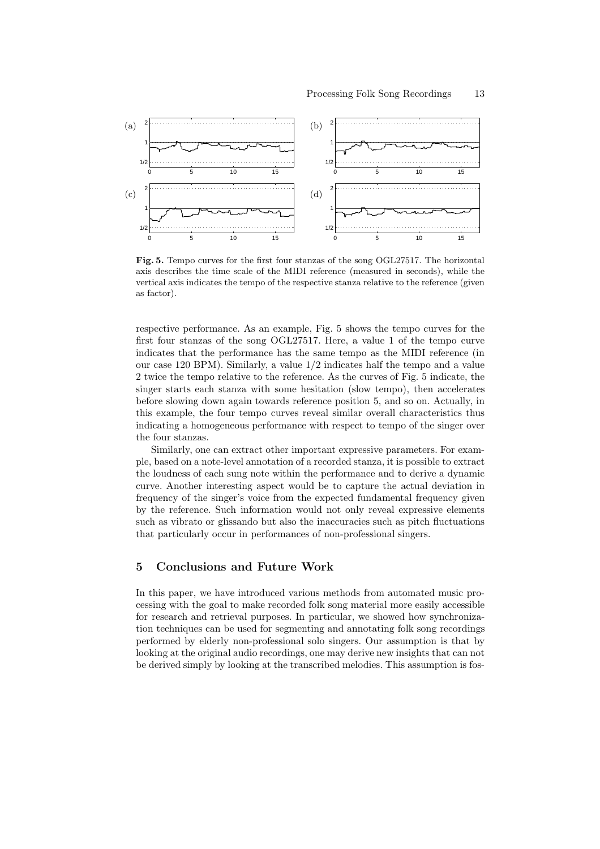

Fig. 5. Tempo curves for the first four stanzas of the song OGL27517. The horizontal axis describes the time scale of the MIDI reference (measured in seconds), while the vertical axis indicates the tempo of the respective stanza relative to the reference (given as factor).

respective performance. As an example, Fig. 5 shows the tempo curves for the first four stanzas of the song OGL27517. Here, a value 1 of the tempo curve indicates that the performance has the same tempo as the MIDI reference (in our case 120 BPM). Similarly, a value 1/2 indicates half the tempo and a value 2 twice the tempo relative to the reference. As the curves of Fig. 5 indicate, the singer starts each stanza with some hesitation (slow tempo), then accelerates before slowing down again towards reference position 5, and so on. Actually, in this example, the four tempo curves reveal similar overall characteristics thus indicating a homogeneous performance with respect to tempo of the singer over the four stanzas.

Similarly, one can extract other important expressive parameters. For example, based on a note-level annotation of a recorded stanza, it is possible to extract the loudness of each sung note within the performance and to derive a dynamic curve. Another interesting aspect would be to capture the actual deviation in frequency of the singer's voice from the expected fundamental frequency given by the reference. Such information would not only reveal expressive elements such as vibrato or glissando but also the inaccuracies such as pitch fluctuations that particularly occur in performances of non-professional singers.

# 5 Conclusions and Future Work

In this paper, we have introduced various methods from automated music processing with the goal to make recorded folk song material more easily accessible for research and retrieval purposes. In particular, we showed how synchronization techniques can be used for segmenting and annotating folk song recordings performed by elderly non-professional solo singers. Our assumption is that by looking at the original audio recordings, one may derive new insights that can not be derived simply by looking at the transcribed melodies. This assumption is fos-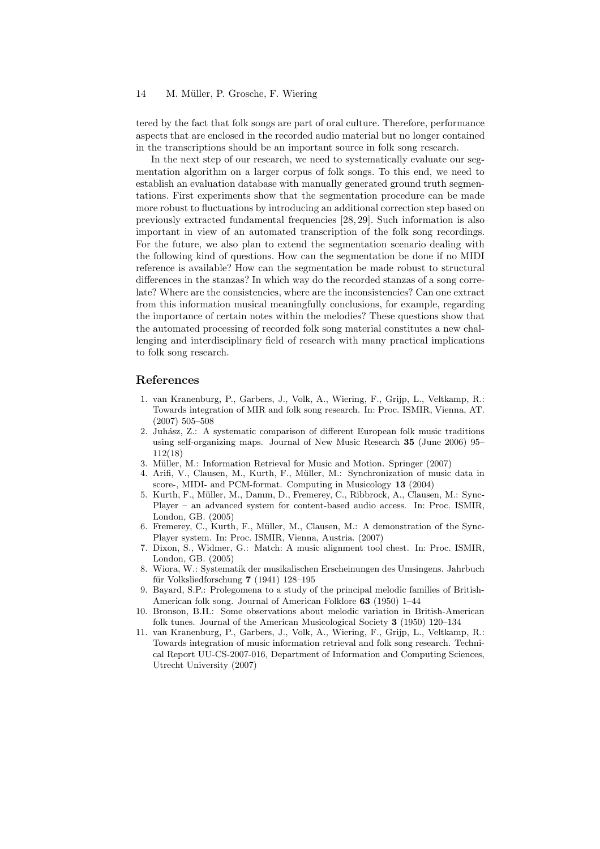tered by the fact that folk songs are part of oral culture. Therefore, performance aspects that are enclosed in the recorded audio material but no longer contained in the transcriptions should be an important source in folk song research.

In the next step of our research, we need to systematically evaluate our segmentation algorithm on a larger corpus of folk songs. To this end, we need to establish an evaluation database with manually generated ground truth segmentations. First experiments show that the segmentation procedure can be made more robust to fluctuations by introducing an additional correction step based on previously extracted fundamental frequencies [28, 29]. Such information is also important in view of an automated transcription of the folk song recordings. For the future, we also plan to extend the segmentation scenario dealing with the following kind of questions. How can the segmentation be done if no MIDI reference is available? How can the segmentation be made robust to structural differences in the stanzas? In which way do the recorded stanzas of a song correlate? Where are the consistencies, where are the inconsistencies? Can one extract from this information musical meaningfully conclusions, for example, regarding the importance of certain notes within the melodies? These questions show that the automated processing of recorded folk song material constitutes a new challenging and interdisciplinary field of research with many practical implications to folk song research.

## References

- 1. van Kranenburg, P., Garbers, J., Volk, A., Wiering, F., Grijp, L., Veltkamp, R.: Towards integration of MIR and folk song research. In: Proc. ISMIR, Vienna, AT. (2007) 505–508
- 2. Juh´asz, Z.: A systematic comparison of different European folk music traditions using self-organizing maps. Journal of New Music Research 35 (June 2006) 95– 112(18)
- 3. Müller, M.: Information Retrieval for Music and Motion. Springer (2007)
- 4. Arifi, V., Clausen, M., Kurth, F., Müller, M.: Synchronization of music data in score-, MIDI- and PCM-format. Computing in Musicology 13 (2004)
- 5. Kurth, F., M¨uller, M., Damm, D., Fremerey, C., Ribbrock, A., Clausen, M.: Sync-Player – an advanced system for content-based audio access. In: Proc. ISMIR, London, GB. (2005)
- 6. Fremerey, C., Kurth, F., Müller, M., Clausen, M.: A demonstration of the Sync-Player system. In: Proc. ISMIR, Vienna, Austria. (2007)
- 7. Dixon, S., Widmer, G.: Match: A music alignment tool chest. In: Proc. ISMIR, London, GB. (2005)
- 8. Wiora, W.: Systematik der musikalischen Erscheinungen des Umsingens. Jahrbuch für Volksliedforschung  $7(1941) 128-195$
- 9. Bayard, S.P.: Prolegomena to a study of the principal melodic families of British-American folk song. Journal of American Folklore 63 (1950) 1–44
- 10. Bronson, B.H.: Some observations about melodic variation in British-American folk tunes. Journal of the American Musicological Society 3 (1950) 120–134
- 11. van Kranenburg, P., Garbers, J., Volk, A., Wiering, F., Grijp, L., Veltkamp, R.: Towards integration of music information retrieval and folk song research. Technical Report UU-CS-2007-016, Department of Information and Computing Sciences, Utrecht University (2007)